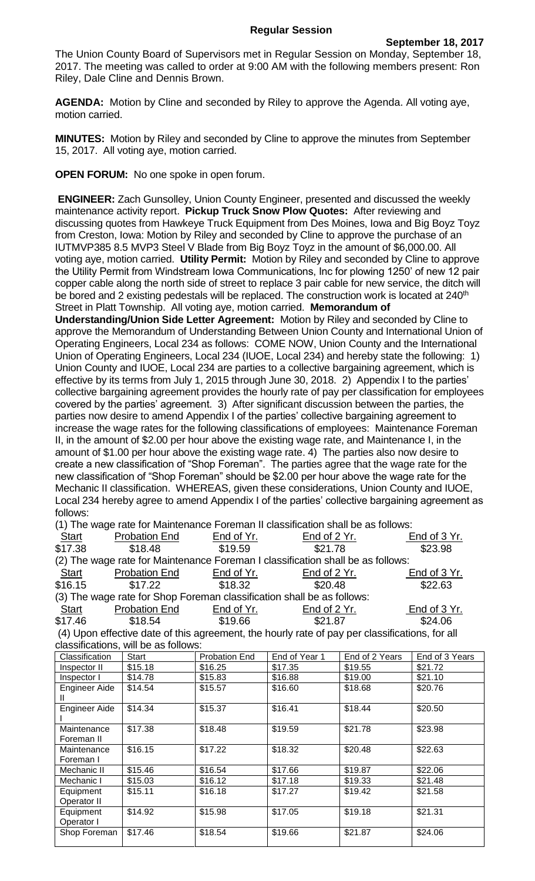The Union County Board of Supervisors met in Regular Session on Monday, September 18, 2017. The meeting was called to order at 9:00 AM with the following members present: Ron Riley, Dale Cline and Dennis Brown.

**AGENDA:** Motion by Cline and seconded by Riley to approve the Agenda. All voting aye, motion carried.

**MINUTES:** Motion by Riley and seconded by Cline to approve the minutes from September 15, 2017. All voting aye, motion carried.

**OPEN FORUM:** No one spoke in open forum.

**ENGINEER:** Zach Gunsolley, Union County Engineer, presented and discussed the weekly maintenance activity report. **Pickup Truck Snow Plow Quotes:** After reviewing and discussing quotes from Hawkeye Truck Equipment from Des Moines, Iowa and Big Boyz Toyz from Creston, Iowa: Motion by Riley and seconded by Cline to approve the purchase of an IUTMVP385 8.5 MVP3 Steel V Blade from Big Boyz Toyz in the amount of \$6,000.00. All voting aye, motion carried. **Utility Permit:** Motion by Riley and seconded by Cline to approve the Utility Permit from Windstream Iowa Communications, Inc for plowing 1250' of new 12 pair copper cable along the north side of street to replace 3 pair cable for new service, the ditch will be bored and 2 existing pedestals will be replaced. The construction work is located at 240<sup>th</sup> Street in Platt Township. All voting aye, motion carried. **Memorandum of** 

**Understanding/Union Side Letter Agreement:** Motion by Riley and seconded by Cline to approve the Memorandum of Understanding Between Union County and International Union of Operating Engineers, Local 234 as follows: COME NOW, Union County and the International Union of Operating Engineers, Local 234 (IUOE, Local 234) and hereby state the following: 1) Union County and IUOE, Local 234 are parties to a collective bargaining agreement, which is effective by its terms from July 1, 2015 through June 30, 2018. 2) Appendix I to the parties' collective bargaining agreement provides the hourly rate of pay per classification for employees covered by the parties' agreement. 3) After significant discussion between the parties, the parties now desire to amend Appendix I of the parties' collective bargaining agreement to increase the wage rates for the following classifications of employees: Maintenance Foreman II, in the amount of \$2.00 per hour above the existing wage rate, and Maintenance I, in the amount of \$1.00 per hour above the existing wage rate. 4) The parties also now desire to create a new classification of "Shop Foreman". The parties agree that the wage rate for the new classification of "Shop Foreman" should be \$2.00 per hour above the wage rate for the Mechanic II classification. WHEREAS, given these considerations, Union County and IUOE, Local 234 hereby agree to amend Appendix I of the parties' collective bargaining agreement as follows:

| (1) The wage rate for Maintenance Foreman II classification shall be as follows:                        |                      |            |                |              |  |  |  |  |  |
|---------------------------------------------------------------------------------------------------------|----------------------|------------|----------------|--------------|--|--|--|--|--|
| Start                                                                                                   | Probation End        | End of Yr. | End of $2$ Yr. | End of 3 Yr. |  |  |  |  |  |
| \$17.38                                                                                                 | \$18.48              | \$19.59    | \$21.78        | \$23.98      |  |  |  |  |  |
| (2) The wage rate for Maintenance Foreman I classification shall be as follows:                         |                      |            |                |              |  |  |  |  |  |
| <u>Start</u>                                                                                            | <b>Probation End</b> | End of Yr. | End of $2$ Yr. | End of 3 Yr. |  |  |  |  |  |
| \$16.15                                                                                                 | \$17.22              | \$18.32    | \$20.48        | \$22.63      |  |  |  |  |  |
| (3) The wage rate for Shop Foreman classification shall be as follows:                                  |                      |            |                |              |  |  |  |  |  |
| Start                                                                                                   | <b>Probation End</b> | End of Yr. | End of 2 Yr.   | End of 3 Yr. |  |  |  |  |  |
| \$17.46                                                                                                 | \$18.54              | \$19.66    | \$21.87        | \$24.06      |  |  |  |  |  |
| . AAN THE EXPLORED THREE CARDS IS EXPLORED TO THE CHARGE OF EXPLORED TO THE CHARGE OF A STRING $\ell$ . |                      |            |                |              |  |  |  |  |  |

(4) Upon effective date of this agreement, the hourly rate of pay per classifications, for all classifications, will be as follows:

| Classification            | Start   | <b>Probation End</b> | End of Year 1 | End of 2 Years | End of 3 Years |
|---------------------------|---------|----------------------|---------------|----------------|----------------|
| Inspector II              | \$15.18 | \$16.25              | \$17.35       | \$19.55        | \$21.72        |
| Inspector I               | \$14.78 | \$15.83              | \$16.88       | \$19.00        | \$21.10        |
| Engineer Aide             | \$14.54 | \$15.57              | \$16.60       | \$18.68        | \$20.76        |
| Engineer Aide             | \$14.34 | \$15.37              | \$16.41       | \$18.44        | \$20.50        |
| Maintenance<br>Foreman II | \$17.38 | \$18.48              | \$19.59       | \$21.78        | \$23.98        |
| Maintenance<br>Foreman I  | \$16.15 | \$17.22              | \$18.32       | \$20.48        | \$22.63        |
| Mechanic II               | \$15.46 | \$16.54              | \$17.66       | \$19.87        | \$22.06        |
| Mechanic I                | \$15.03 | \$16.12              | \$17.18       | \$19.33        | \$21.48        |
| Equipment<br>Operator II  | \$15.11 | \$16.18              | \$17.27       | \$19.42        | \$21.58        |
| Equipment<br>Operator I   | \$14.92 | \$15.98              | \$17.05       | \$19.18        | \$21.31        |
| Shop Foreman              | \$17.46 | \$18.54              | \$19.66       | \$21.87        | \$24.06        |